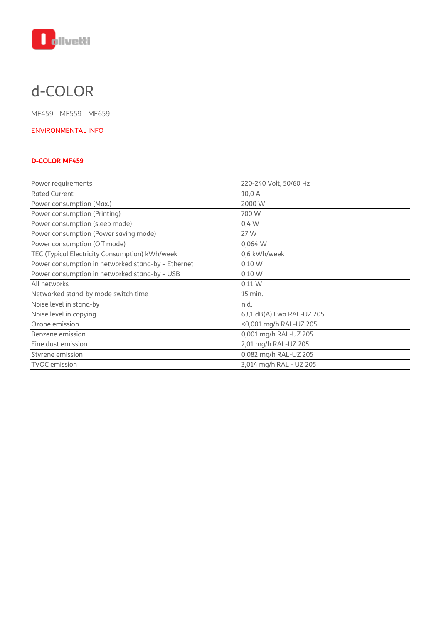

# d-COLOR

MF459 - MF559 - MF659

#### ENVIRONMENTAL INFO

### **D-COLOR MF459**

| Power requirements                                 | 220-240 Volt, 50/60 Hz    |
|----------------------------------------------------|---------------------------|
| <b>Rated Current</b>                               | 10,0 A                    |
| Power consumption (Max.)                           | 2000 W                    |
| Power consumption (Printing)                       | 700 W                     |
| Power consumption (sleep mode)                     | 0,4 W                     |
| Power consumption (Power saving mode)              | 27 W                      |
| Power consumption (Off mode)                       | 0,064 W                   |
| TEC (Typical Electricity Consumption) kWh/week     | 0,6 kWh/week              |
| Power consumption in networked stand-by - Ethernet | 0,10 W                    |
| Power consumption in networked stand-by - USB      | 0,10 W                    |
| All networks                                       | $0,11 \text{ W}$          |
| Networked stand-by mode switch time                | 15 min.                   |
| Noise level in stand-by                            | n.d.                      |
| Noise level in copying                             | 63,1 dB(A) Lwa RAL-UZ 205 |
| Ozone emission                                     | <0,001 mg/h RAL-UZ 205    |
| Benzene emission                                   | 0,001 mg/h RAL-UZ 205     |
| Fine dust emission                                 | 2,01 mg/h RAL-UZ 205      |
| Styrene emission                                   | 0,082 mg/h RAL-UZ 205     |
| <b>TVOC</b> emission                               | 3,014 mg/h RAL - UZ 205   |